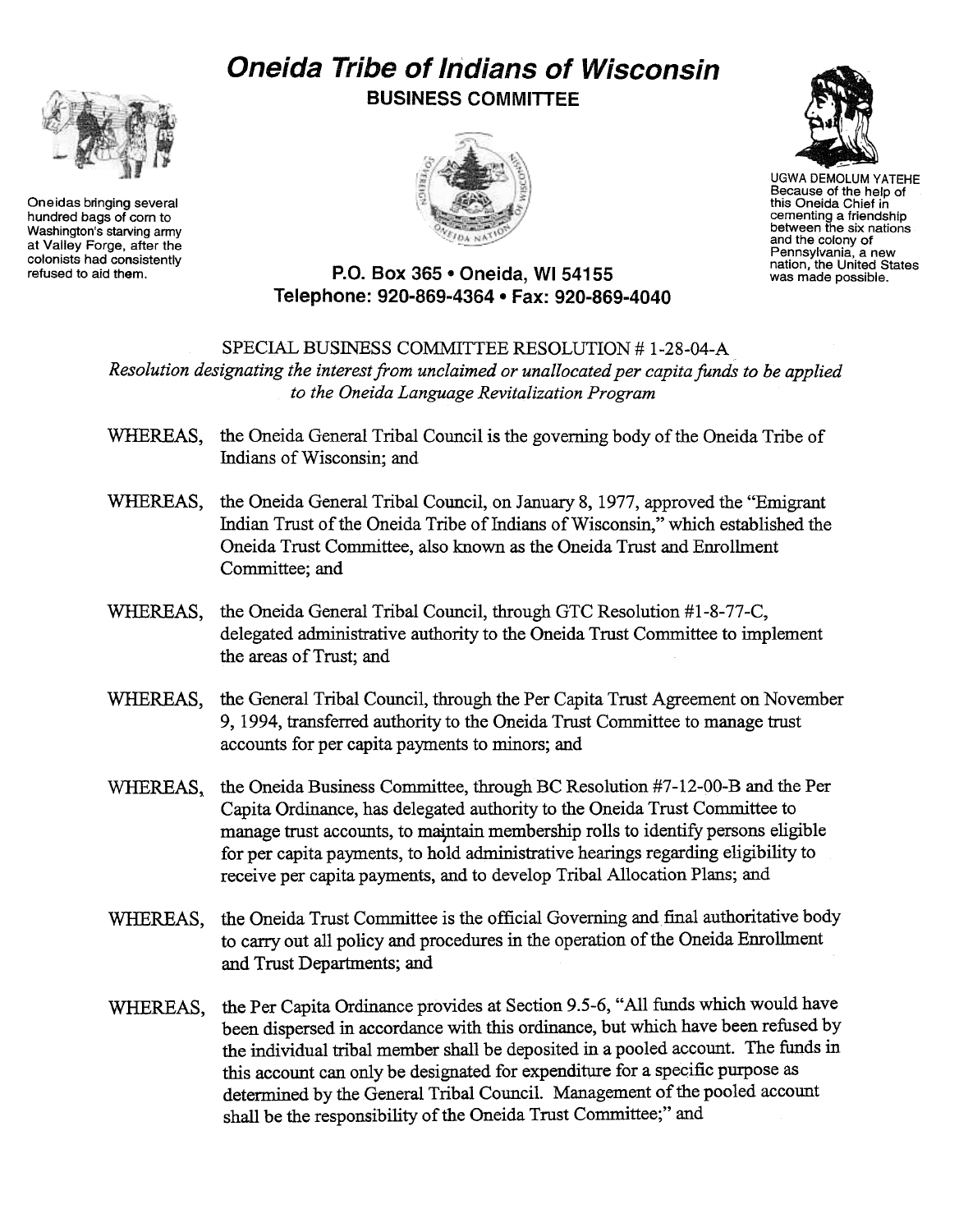## Oneida Tribe of Indians of Wisconsin



Oneidas bringing several hundred bags of corn to Washington's starving army at Valley Forge, after the colonists had consistently<br>refused to aid them. BUSINESS COMMITTEE





UGWA DEMOLUM YATEHE Because of the help of this Oneida Chief in cementing a friendship between the six nations and the colony of Pennsylvania, a new nation, the United States was made possible.

## P.O. Box 365 . Oneida, WI 54155 Telephone: 920-869-4364 . Fax: 920-869-4040

SPECIAL BUSINESS COMMITTEE RESOLUTION # 1-28-04-A Resolution designating the interest from unclaimed or unallocated per capita funds to be applied to the Oneida Language Revitalization Program

- WHEREAS, the Oneida General Tribal Council is the governing body of the Oneida Tribe of Indians of Wisconsin; and
- WHEREAS, the Oneida General Tribal Council, on January 8, 1977, approved the "Emigrant Indian Trust of the Oneida Tribe of Indians of Wisconsin," which established the Oneida Trust Committee, also known as the Oneida Trust and Emollment Committee; and
- WHEREAS, the Oneida General Tribal Council, through GTC Resolution #1-8-77-C, delegated administrative authority to the Oneida Trust Committee to implement the areas of Trust; and
- WHEREAS, the General Tribal Council, through the Per Capita Trust Agreement on November 9, 1994, transferred authority to the Oneida Trust Committee to manage trust accounts for per capita payments to minors; and
- WHEREAS. the Oneida Business Committee, through BC Resolution #7-12-00-B and the Per Capita Ordinance, has delegated authority to the Oneida Trust Committee to manage trust accounts, to maintain membership rolls to identify persons eligible for per capita payments, to hold administrative hearings regarding eligibility to receive per capita payments, and to develop Tribal Allocation Plans; and
- the Oneida Trust Committee is the official Governing and final authoritative body to carry out all policy and procedures in the operation of the Oneida Enrollment and Trust Departments; and WHEREAS,
- WHEREAS, the Per Capita Ordinance provides at Section 9.5-6, "All funds which would have been dispersed in accordance with this ordinance, but which have been refused by the individual tribal member shall be deposited in a pooled account. The funds in this account can only be designated for expenditure for a specific purpose as determined by the General Tribal Council. Management of the pooled account shall be the responsibility of the Oneida Trust Committee;" and